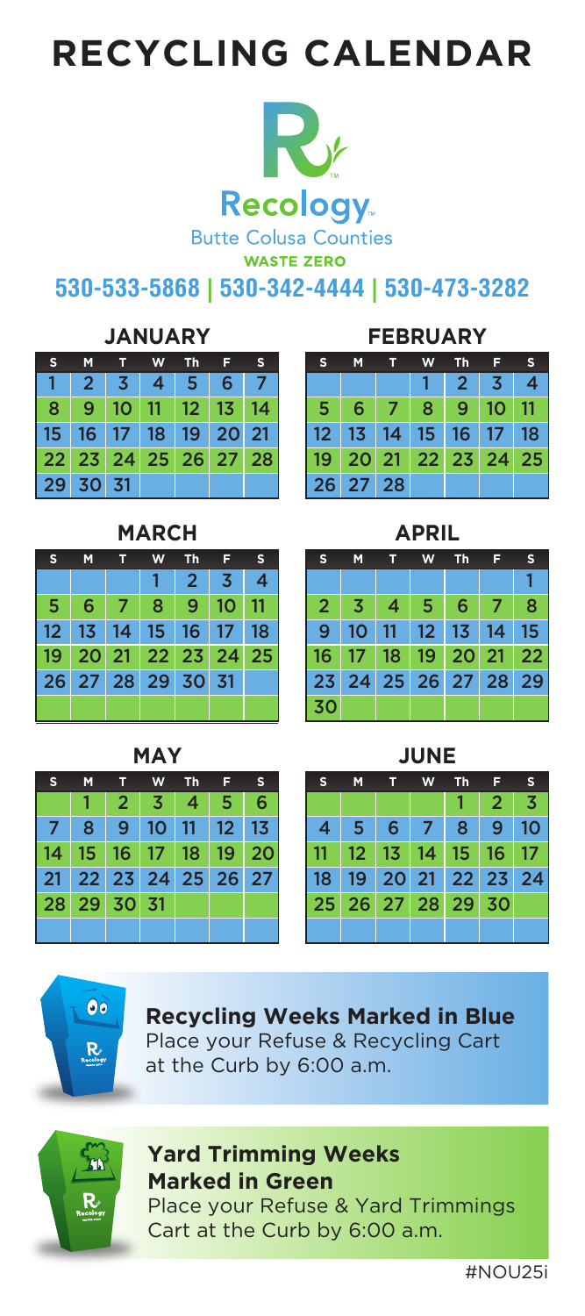# **RECYCLING CALENDAR**



**530-533-5868 | 530-342-4444 | 530-473-3282**

#### **JANUARY**

|          |  | S M T W Th F S                                |  |
|----------|--|-----------------------------------------------|--|
|          |  | $1 \mid 2 \mid 3 \mid 4 \mid 5 \mid 6 \mid 7$ |  |
|          |  | 8   9   10   11   12   13   14                |  |
|          |  | 15 16 17 18 19 20 21                          |  |
|          |  | 22 23 24 25 26 27 28                          |  |
| 29 30 31 |  |                                               |  |

#### **MARCH**

| s.                               | M. | <b>W</b>      | Th <sub>F</sub>   | ß |
|----------------------------------|----|---------------|-------------------|---|
|                                  |    |               | $2 \mid 3 \mid 4$ |   |
| 5 <sup>2</sup>                   |    | 6 7 8 9 10 11 |                   |   |
| 12 13 14 15 16 17 18             |    |               |                   |   |
| 19   20   21   22   23   24   25 |    |               |                   |   |
| 26 27 28 29 30 31                |    |               |                   |   |
|                                  |    |               |                   |   |

### **MAY**

| s.                   | M | T | W Th | - F -                         | S                                |
|----------------------|---|---|------|-------------------------------|----------------------------------|
|                      |   |   |      | $2 \mid 3 \mid 4 \mid 5 \mid$ | 6                                |
|                      |   |   |      | 7 8 9 10 11 12 13             |                                  |
|                      |   |   |      |                               | 14   15   16   17   18   19   20 |
| 21 22 23 24 25 26 27 |   |   |      |                               |                                  |
| 28 29 30 31          |   |   |      |                               |                                  |
|                      |   |   |      |                               |                                  |

## **FEBRUARY**

| s                    | M               | W |                             | Th <sub>FS</sub> |  |  |
|----------------------|-----------------|---|-----------------------------|------------------|--|--|
|                      |                 |   | $1 \quad 2 \quad 3 \quad 4$ |                  |  |  |
|                      | 5 6 7 8 9 10 11 |   |                             |                  |  |  |
| 12 13 14 15 16 17 18 |                 |   |                             |                  |  |  |
| 19 20 21 22 23 24 25 |                 |   |                             |                  |  |  |
| 26 27 28             |                 |   |                             |                  |  |  |

| s                            | М              | т              | w          | Th             | F              | s              |  | s              | М  | т  | W           | Th             | F              | s  |
|------------------------------|----------------|----------------|------------|----------------|----------------|----------------|--|----------------|----|----|-------------|----------------|----------------|----|
| 1                            | $\overline{2}$ | 3              | 4          | 5              | 6              | $\overline{7}$ |  |                |    |    | 1           | $\overline{2}$ | 3              | 4  |
| 8                            | 9              | 10             | 11         | 12             | 1 <sub>3</sub> | 14             |  | 5              | 6  | 7  | 8           | 9              | 10             | 11 |
| 5                            | 16             | 17             | 18         | 19             | 20             | 21             |  | 12             | 13 | 14 | 15          | 16             | 17             | 18 |
| $\overline{2}$               | 23             | 24             | 25         | 26             | 27             | 28             |  | 19             | 20 | 21 | 22          | 23             | 24             | 25 |
| 29                           | 30             | 31             |            |                |                |                |  | 26             | 27 | 28 |             |                |                |    |
| <b>MARCH</b><br><b>APRIL</b> |                |                |            |                |                |                |  |                |    |    |             |                |                |    |
| s                            | M              | т              | W          | <b>Th</b>      | F              | s              |  | s              | M  | т  | W           | Th             | F              | s  |
|                              |                |                | 1          | $\overline{2}$ | 3              | 4              |  |                |    |    |             |                |                | 1  |
| 5                            | 6              | 7              | 8          | 9              | 10             | 11             |  | $\overline{2}$ | 3  | 4  | 5           | 6              | 7              | 8  |
| $\overline{\mathbf{c}}$      | 1 <sub>3</sub> | 14             | 15         | 16             | 17             | 18             |  | 9              | 10 | 11 | 12          | 1 <sub>3</sub> | 14             | 15 |
| 9                            | 20             | 21             | 22         | 23             | 24             | 25             |  | 16             | 17 | 18 | 19          | 20             | 21             | 22 |
| 26                           | 27             | 28             | 29         | 30             | 31             |                |  | 23             | 24 | 25 | 26          | 27             | 28             | 29 |
|                              |                |                |            |                |                |                |  | 30             |    |    |             |                |                |    |
|                              |                |                | <b>MAY</b> |                |                |                |  |                |    |    | <b>JUNE</b> |                |                |    |
| s                            | M              | т              | W          | <b>Th</b>      | F              | s              |  | s              | M  | T  | W           | Th             | F              | s  |
|                              | 1              | $\overline{2}$ | 3          | 4              | 5              | 6              |  |                |    |    |             | 1              | $\overline{2}$ | 3  |
| 7                            | 8              | 9              | 10         | 11             | 12             | 1 <sub>3</sub> |  | 4              | 5  | 6  | 7           | 8              | 9              | 10 |
| 4                            |                | 16             | 17         | 18             | 19             | 20             |  | 11             | 12 | 13 | 14          | 15             | 16             | 17 |
|                              | 15             |                |            |                |                |                |  |                |    |    |             |                |                |    |
| 21                           | 22             | 23             | 24         | 25             | 26             | 27             |  | 18             | 19 | 20 | 21          | 22             | 23             | 24 |
| 28                           | 29             | 30             | 31         |                |                |                |  | 25             | 26 | 27 | 28          | 29             | 30             |    |
|                              |                |                |            |                |                |                |  |                |    |    |             |                |                |    |
|                              |                |                |            |                |                |                |  |                |    |    |             |                |                |    |
|                              |                |                |            |                |                |                |  |                |    |    |             |                |                |    |

|                      | JUNE           |                   |                 |   |                |    |  |  |  |  |  |  |
|----------------------|----------------|-------------------|-----------------|---|----------------|----|--|--|--|--|--|--|
| s                    | M              | s                 |                 |   |                |    |  |  |  |  |  |  |
|                      |                |                   |                 |   | $\overline{2}$ | 3  |  |  |  |  |  |  |
| $\overline{4}$       | $\overline{5}$ |                   | $6 \mid 7 \mid$ | 8 | 9 <sup>°</sup> | 10 |  |  |  |  |  |  |
| $\vert$ 11           |                | 12 13 14 15 16 17 |                 |   |                |    |  |  |  |  |  |  |
| 18 19 20 21 22 23 24 |                |                   |                 |   |                |    |  |  |  |  |  |  |
| 25 26 27 28 29 30    |                |                   |                 |   |                |    |  |  |  |  |  |  |
|                      |                |                   |                 |   |                |    |  |  |  |  |  |  |



Place your Refuse & Recycling Cart at the Curb by 6:00 a.m.



## **Yard Trimming Weeks Marked in Green**

Place your Refuse & Yard Trimmings Cart at the Curb by 6:00 a.m.

#NOU25i